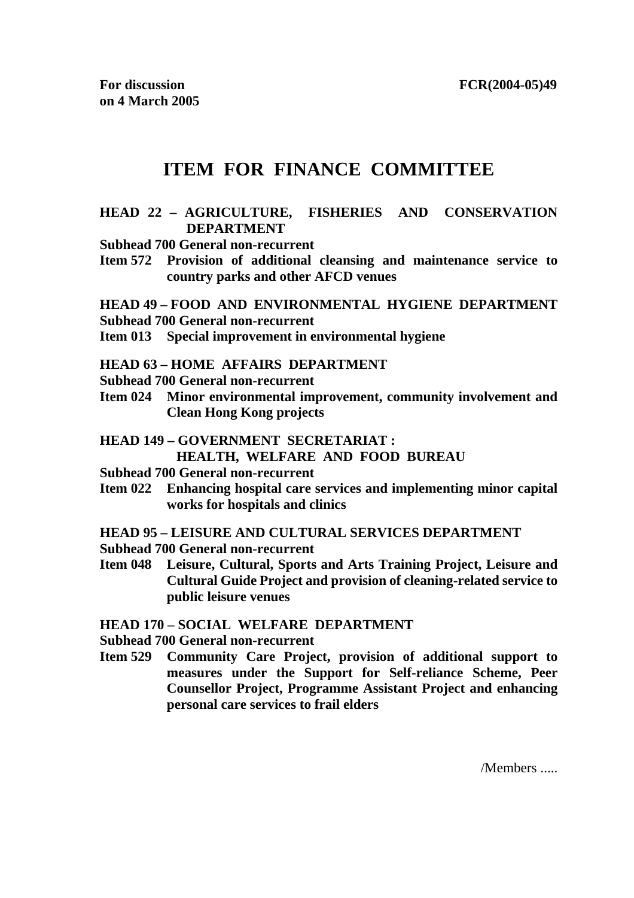# **ITEM FOR FINANCE COMMITTEE**

#### **HEAD 22 – AGRICULTURE, FISHERIES AND CONSERVATION DEPARTMENT**

**Subhead 700 General non-recurrent** 

**Item 572 Provision of additional cleansing and maintenance service to country parks and other AFCD venues** 

# **HEAD 49 – FOOD AND ENVIRONMENTAL HYGIENE DEPARTMENT**

- **Subhead 700 General non-recurrent**
- **Item 013 Special improvement in environmental hygiene**

#### **HEAD 63 – HOME AFFAIRS DEPARTMENT**

- **Subhead 700 General non-recurrent**
- **Item 024 Minor environmental improvement, community involvement and Clean Hong Kong projects**
- **HEAD 149 GOVERNMENT SECRETARIAT : HEALTH, WELFARE AND FOOD BUREAU**
- **Subhead 700 General non-recurrent**
- **Item 022 Enhancing hospital care services and implementing minor capital works for hospitals and clinics**
- **HEAD 95 LEISURE AND CULTURAL SERVICES DEPARTMENT**
- **Subhead 700 General non-recurrent**
- **Item 048 Leisure, Cultural, Sports and Arts Training Project, Leisure and Cultural Guide Project and provision of cleaning-related service to public leisure venues**

**HEAD 170 – SOCIAL WELFARE DEPARTMENT** 

**Subhead 700 General non-recurrent** 

**Item 529 Community Care Project, provision of additional support to measures under the Support for Self-reliance Scheme, Peer Counsellor Project, Programme Assistant Project and enhancing personal care services to frail elders** 

/Members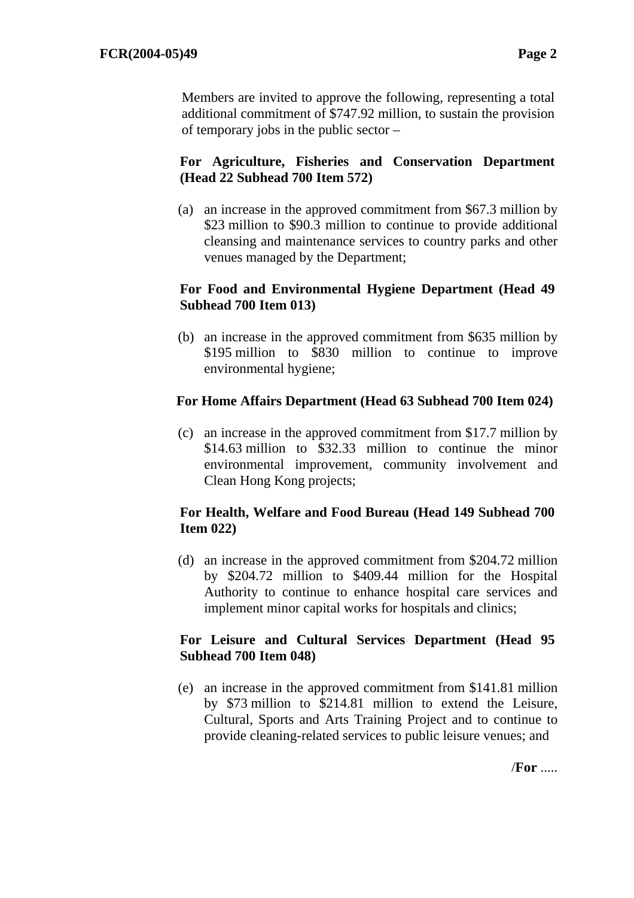Members are invited to approve the following, representing a total additional commitment of \$747.92 million, to sustain the provision of temporary jobs in the public sector –

## **For Agriculture, Fisheries and Conservation Department (Head 22 Subhead 700 Item 572)**

(a) an increase in the approved commitment from \$67.3 million by \$23 million to \$90.3 million to continue to provide additional cleansing and maintenance services to country parks and other venues managed by the Department;

## **For Food and Environmental Hygiene Department (Head 49 Subhead 700 Item 013)**

(b) an increase in the approved commitment from \$635 million by \$195 million to \$830 million to continue to improve environmental hygiene;

## **For Home Affairs Department (Head 63 Subhead 700 Item 024)**

(c) an increase in the approved commitment from \$17.7 million by \$14.63 million to \$32.33 million to continue the minor environmental improvement, community involvement and Clean Hong Kong projects;

## **For Health, Welfare and Food Bureau (Head 149 Subhead 700 Item 022)**

(d) an increase in the approved commitment from \$204.72 million by \$204.72 million to \$409.44 million for the Hospital Authority to continue to enhance hospital care services and implement minor capital works for hospitals and clinics;

### **For Leisure and Cultural Services Department (Head 95 Subhead 700 Item 048)**

(e) an increase in the approved commitment from \$141.81 million by \$73 million to \$214.81 million to extend the Leisure, Cultural, Sports and Arts Training Project and to continue to provide cleaning-related services to public leisure venues; and

/**For** .....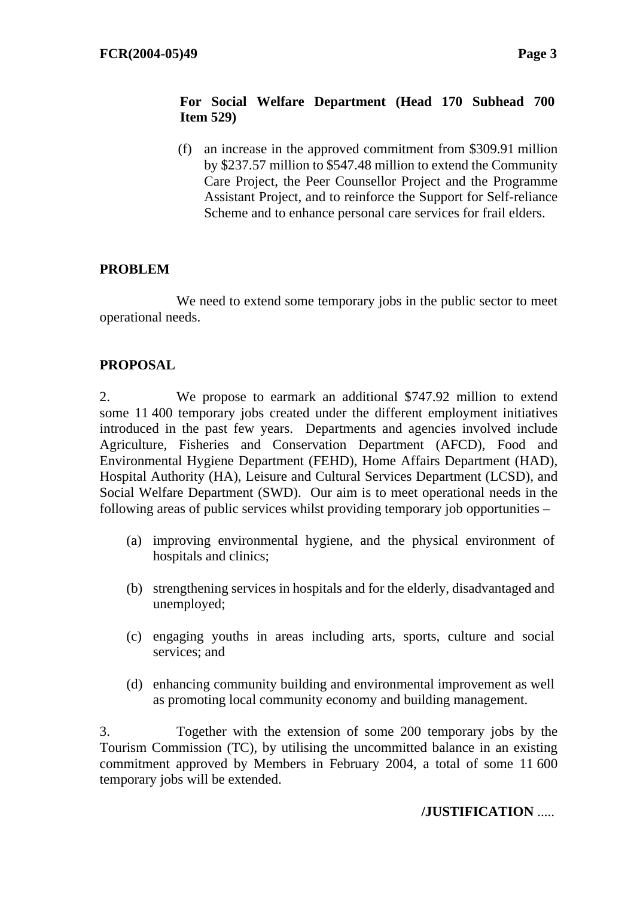## **For Social Welfare Department (Head 170 Subhead 700 Item 529)**

(f) an increase in the approved commitment from \$309.91 million by \$237.57 million to \$547.48 million to extend the Community Care Project, the Peer Counsellor Project and the Programme Assistant Project, and to reinforce the Support for Self-reliance Scheme and to enhance personal care services for frail elders.

## **PROBLEM**

 We need to extend some temporary jobs in the public sector to meet operational needs.

## **PROPOSAL**

2. We propose to earmark an additional \$747.92 million to extend some 11 400 temporary jobs created under the different employment initiatives introduced in the past few years. Departments and agencies involved include Agriculture, Fisheries and Conservation Department (AFCD), Food and Environmental Hygiene Department (FEHD), Home Affairs Department (HAD), Hospital Authority (HA), Leisure and Cultural Services Department (LCSD), and Social Welfare Department (SWD). Our aim is to meet operational needs in the following areas of public services whilst providing temporary job opportunities –

- (a) improving environmental hygiene, and the physical environment of hospitals and clinics:
- (b) strengthening services in hospitals and for the elderly, disadvantaged and unemployed;
- (c) engaging youths in areas including arts, sports, culture and social services; and
- (d) enhancing community building and environmental improvement as well as promoting local community economy and building management.

3. Together with the extension of some 200 temporary jobs by the Tourism Commission (TC), by utilising the uncommitted balance in an existing commitment approved by Members in February 2004, a total of some 11 600 temporary jobs will be extended.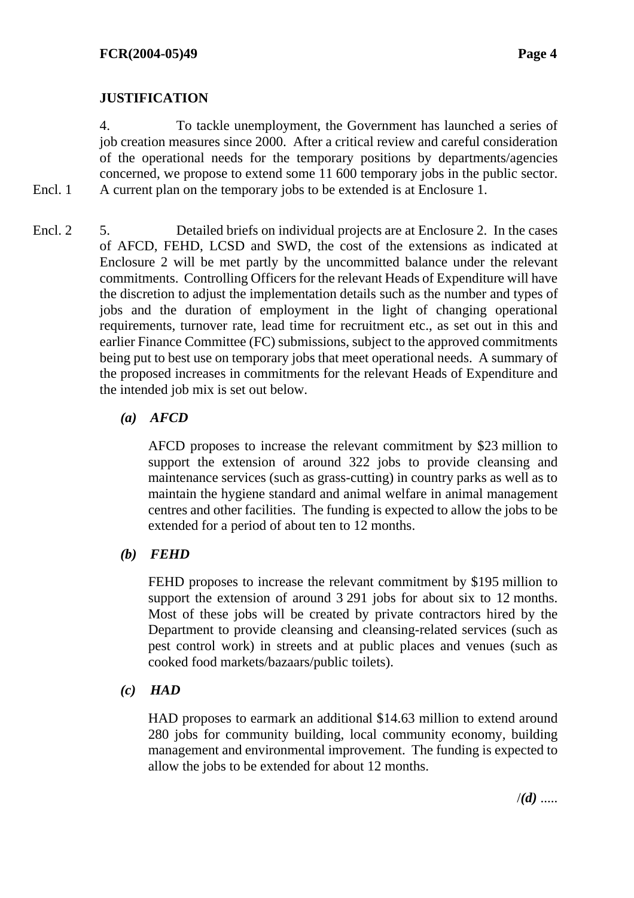## **JUSTIFICATION**

Encl. 1

4. To tackle unemployment, the Government has launched a series of job creation measures since 2000. After a critical review and careful consideration of the operational needs for the temporary positions by departments/agencies concerned, we propose to extend some 11 600 temporary jobs in the public sector. A current plan on the temporary jobs to be extended is at Enclosure 1.

5. Detailed briefs on individual projects are at Enclosure 2. In the cases of AFCD, FEHD, LCSD and SWD, the cost of the extensions as indicated at Enclosure 2 will be met partly by the uncommitted balance under the relevant commitments. Controlling Officers for the relevant Heads of Expenditure will have the discretion to adjust the implementation details such as the number and types of jobs and the duration of employment in the light of changing operational requirements, turnover rate, lead time for recruitment etc., as set out in this and earlier Finance Committee (FC) submissions, subject to the approved commitments being put to best use on temporary jobs that meet operational needs. A summary of the proposed increases in commitments for the relevant Heads of Expenditure and the intended job mix is set out below. Encl. 2

### *(a) AFCD*

AFCD proposes to increase the relevant commitment by \$23 million to support the extension of around 322 jobs to provide cleansing and maintenance services (such as grass-cutting) in country parks as well as to maintain the hygiene standard and animal welfare in animal management centres and other facilities. The funding is expected to allow the jobs to be extended for a period of about ten to 12 months.

#### *(b) FEHD*

FEHD proposes to increase the relevant commitment by \$195 million to support the extension of around 3 291 jobs for about six to 12 months. Most of these jobs will be created by private contractors hired by the Department to provide cleansing and cleansing-related services (such as pest control work) in streets and at public places and venues (such as cooked food markets/bazaars/public toilets).

### *(c) HAD*

HAD proposes to earmark an additional \$14.63 million to extend around 280 jobs for community building, local community economy, building management and environmental improvement. The funding is expected to allow the jobs to be extended for about 12 months.

/*(d)* .....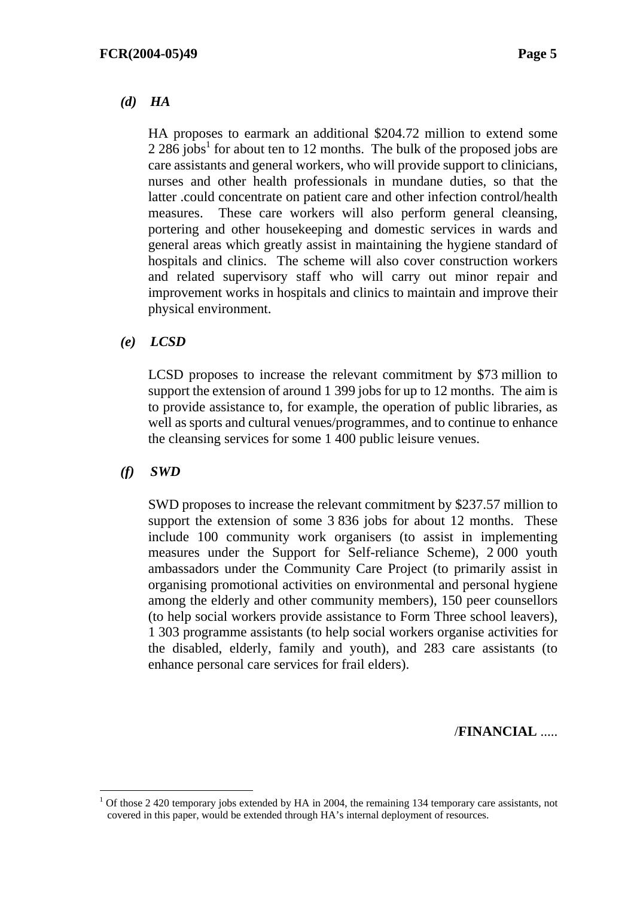### *(d) HA*

HA proposes to earmark an additional \$204.72 million to extend some  $2.286$  jobs<sup>1</sup> for about ten to 12 months. The bulk of the proposed jobs are care assistants and general workers, who will provide support to clinicians, nurses and other health professionals in mundane duties, so that the latter .could concentrate on patient care and other infection control/health measures. These care workers will also perform general cleansing, portering and other housekeeping and domestic services in wards and general areas which greatly assist in maintaining the hygiene standard of hospitals and clinics. The scheme will also cover construction workers and related supervisory staff who will carry out minor repair and improvement works in hospitals and clinics to maintain and improve their physical environment.

### *(e) LCSD*

LCSD proposes to increase the relevant commitment by \$73 million to support the extension of around 1 399 jobs for up to 12 months. The aim is to provide assistance to, for example, the operation of public libraries, as well as sports and cultural venues/programmes, and to continue to enhance the cleansing services for some 1 400 public leisure venues.

### *(f) SWD*

SWD proposes to increase the relevant commitment by \$237.57 million to support the extension of some 3 836 jobs for about 12 months. These include 100 community work organisers (to assist in implementing measures under the Support for Self-reliance Scheme), 2 000 youth ambassadors under the Community Care Project (to primarily assist in organising promotional activities on environmental and personal hygiene among the elderly and other community members), 150 peer counsellors (to help social workers provide assistance to Form Three school leavers), 1 303 programme assistants (to help social workers organise activities for the disabled, elderly, family and youth), and 283 care assistants (to enhance personal care services for frail elders).

### /**FINANCIAL** .....

 $1$  Of those 2 420 temporary jobs extended by HA in 2004, the remaining 134 temporary care assistants, not covered in this paper, would be extended through HA's internal deployment of resources.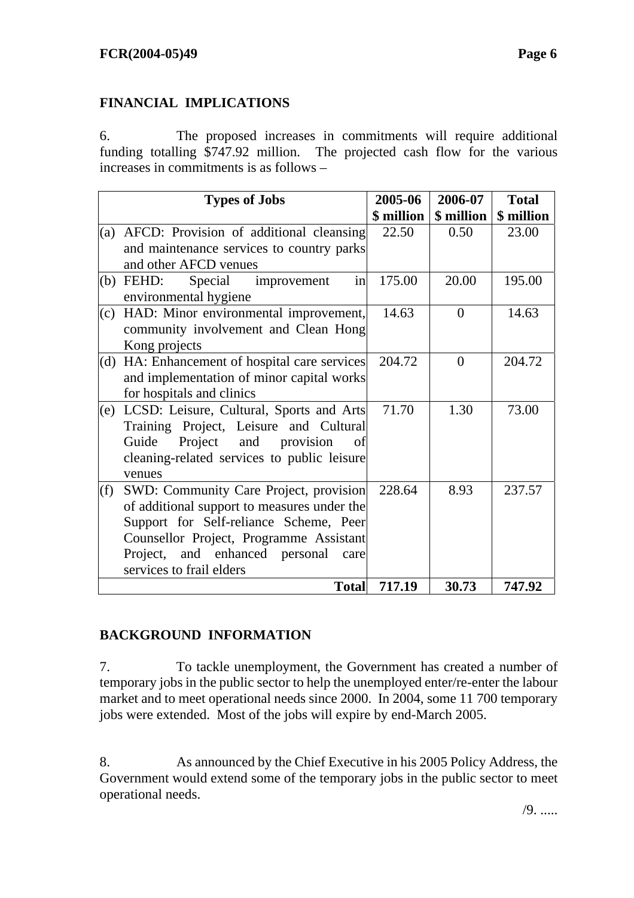## **FINANCIAL IMPLICATIONS**

6. The proposed increases in commitments will require additional funding totalling \$747.92 million. The projected cash flow for the various increases in commitments is as follows –

|     | <b>Types of Jobs</b>                          | 2005-06    | 2006-07    | <b>Total</b> |
|-----|-----------------------------------------------|------------|------------|--------------|
|     |                                               | \$ million | \$ million | \$ million   |
| (a) | AFCD: Provision of additional cleansing       | 22.50      | 0.50       | 23.00        |
|     | and maintenance services to country parks     |            |            |              |
|     | and other AFCD venues                         |            |            |              |
|     | in<br>$(b)$ FEHD:<br>Special<br>improvement   | 175.00     | 20.00      | 195.00       |
|     | environmental hygiene                         |            |            |              |
| (c) | HAD: Minor environmental improvement,         | 14.63      | $\theta$   | 14.63        |
|     | community involvement and Clean Hong          |            |            |              |
|     | Kong projects                                 |            |            |              |
|     | (d) HA: Enhancement of hospital care services | 204.72     | $\theta$   | 204.72       |
|     | and implementation of minor capital works     |            |            |              |
|     | for hospitals and clinics                     |            |            |              |
| (e) | LCSD: Leisure, Cultural, Sports and Arts      | 71.70      | 1.30       | 73.00        |
|     | Training Project, Leisure and Cultural        |            |            |              |
|     | Guide<br>Project and provision<br>of          |            |            |              |
|     | cleaning-related services to public leisure   |            |            |              |
|     | venues                                        |            |            |              |
| (f) | SWD: Community Care Project, provision        | 228.64     | 8.93       | 237.57       |
|     | of additional support to measures under the   |            |            |              |
|     | Support for Self-reliance Scheme, Peer        |            |            |              |
|     | Counsellor Project, Programme Assistant       |            |            |              |
|     | Project, and enhanced personal<br>care        |            |            |              |
|     | services to frail elders                      |            |            |              |
|     | <b>Total</b>                                  | 717.19     | 30.73      | 747.92       |

## **BACKGROUND INFORMATION**

7. To tackle unemployment, the Government has created a number of temporary jobs in the public sector to help the unemployed enter/re-enter the labour market and to meet operational needs since 2000. In 2004, some 11 700 temporary jobs were extended. Most of the jobs will expire by end-March 2005.

8. As announced by the Chief Executive in his 2005 Policy Address, the Government would extend some of the temporary jobs in the public sector to meet operational needs.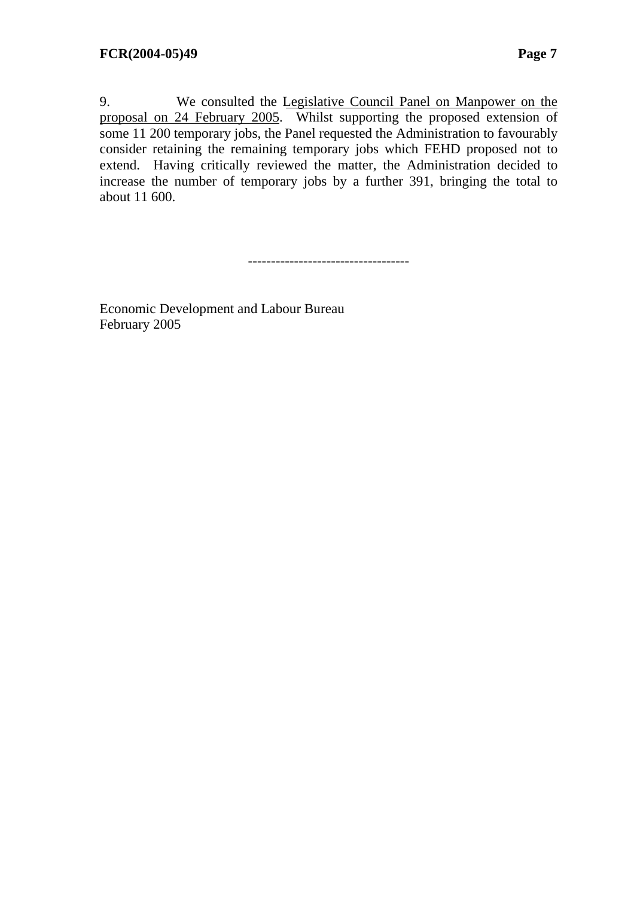9. We consulted the [Legislative Council Panel on Manpower on the](http://www.legco.gov.hk/yr04-05/english/panels/mp/general/mp0405.htm) [proposal on 24 February 2005.](http://www.legco.gov.hk/yr04-05/english/panels/mp/general/mp0405.htm) Whilst supporting the proposed extension of some 11 200 temporary jobs, the Panel requested the Administration to favourably consider retaining the remaining temporary jobs which FEHD proposed not to extend. Having critically reviewed the matter, the Administration decided to increase the number of temporary jobs by a further 391, bringing the total to about 11 600.

-----------------------------------

Economic Development and Labour Bureau February 2005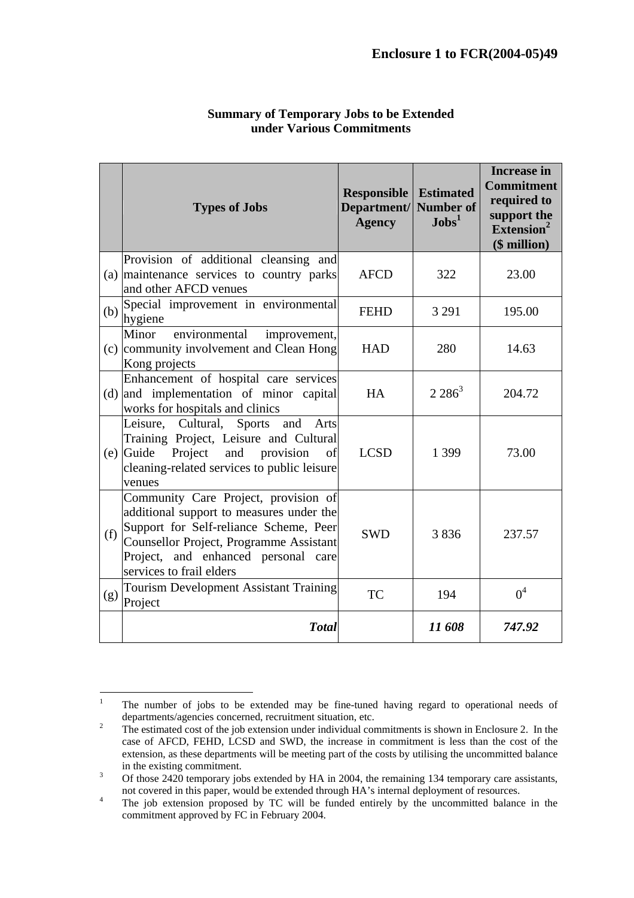|     | <b>Types of Jobs</b>                                                                                                                                                                                                                            | <b>Responsible</b><br>Department/<br><b>Agency</b> | <b>Estimated</b><br><b>Number of</b><br>$J$ obs <sup>1</sup> | <b>Increase in</b><br><b>Commitment</b><br>required to<br>support the<br>Extension <sup>2</sup><br>(\$ million) |
|-----|-------------------------------------------------------------------------------------------------------------------------------------------------------------------------------------------------------------------------------------------------|----------------------------------------------------|--------------------------------------------------------------|-----------------------------------------------------------------------------------------------------------------|
|     | Provision of additional cleansing and<br>(a) maintenance services to country parks<br>and other AFCD venues                                                                                                                                     | <b>AFCD</b>                                        | 322                                                          | 23.00                                                                                                           |
| (b) | Special improvement in environmental<br>hygiene                                                                                                                                                                                                 | <b>FEHD</b>                                        | 3 2 9 1                                                      | 195.00                                                                                                          |
|     | environmental<br>Minor<br>improvement,<br>(c) community involvement and Clean Hong<br>Kong projects                                                                                                                                             | <b>HAD</b>                                         | 280                                                          | 14.63                                                                                                           |
| (d) | Enhancement of hospital care services<br>and implementation of minor capital<br>works for hospitals and clinics                                                                                                                                 | HA                                                 | $2.286^3$                                                    | 204.72                                                                                                          |
|     | Leisure, Cultural, Sports<br>and<br>Arts<br>Training Project, Leisure and Cultural<br>$(e)$ Guide Project and provision<br>of<br>cleaning-related services to public leisure<br>venues                                                          | <b>LCSD</b>                                        | 1 3 9 9                                                      | 73.00                                                                                                           |
| (f) | Community Care Project, provision of<br>additional support to measures under the<br>Support for Self-reliance Scheme, Peer<br><b>Counsellor Project, Programme Assistant</b><br>Project, and enhanced personal care<br>services to frail elders | <b>SWD</b>                                         | 3836                                                         | 237.57                                                                                                          |
| (g) | <b>Tourism Development Assistant Training</b><br>Project                                                                                                                                                                                        | <b>TC</b>                                          | 194                                                          | 0 <sup>4</sup>                                                                                                  |
|     | <b>T</b> otal                                                                                                                                                                                                                                   |                                                    | 11608                                                        | 747.92                                                                                                          |

#### **Summary of Temporary Jobs to be Extended under Various Commitments**

 $\frac{1}{1}$  The number of jobs to be extended may be fine-tuned having regard to operational needs of departments/agencies concerned, recruitment situation, etc.<br><sup>2</sup> The estimated cost of the ish extension under individual con-

The estimated cost of the job extension under individual commitments is shown in Enclosure 2. In the case of AFCD, FEHD, LCSD and SWD, the increase in commitment is less than the cost of the extension, as these departments will be meeting part of the costs by utilising the uncommitted balance in the existing commitment.<br> $\frac{3}{2420}$  temperary is

Of those 2420 temporary jobs extended by HA in 2004, the remaining 134 temporary care assistants, not covered in this paper, would be extended through HA's internal deployment of resources.<br><sup>4</sup> The job extension proposed by TC will be funded entirely by the uncommitted belonger

The job extension proposed by TC will be funded entirely by the uncommitted balance in the commitment approved by FC in February 2004.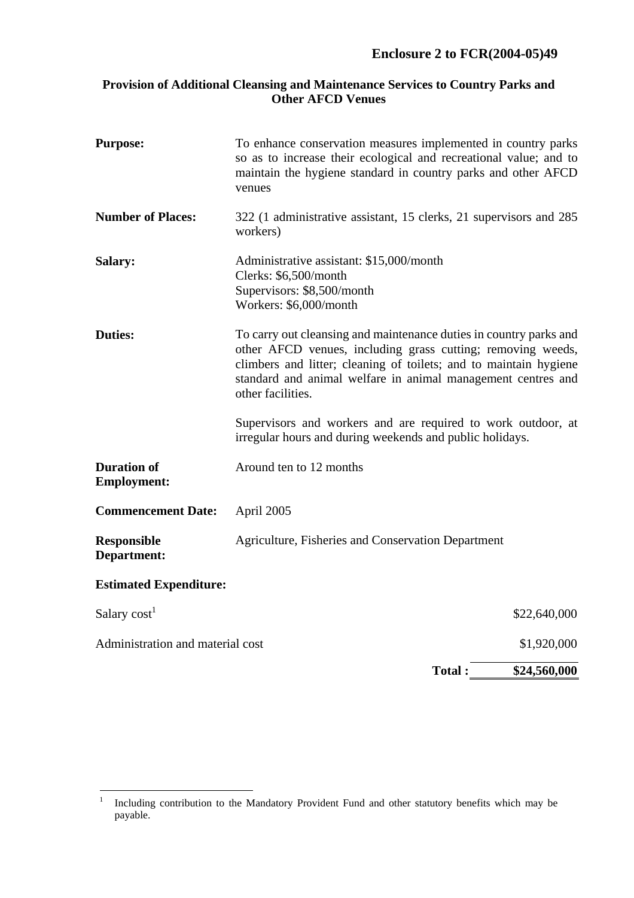## **Enclosure 2 to FCR(2004-05)49**

#### **Provision of Additional Cleansing and Maintenance Services to Country Parks and Other AFCD Venues**

| <b>Purpose:</b>                          | To enhance conservation measures implemented in country parks<br>so as to increase their ecological and recreational value; and to<br>maintain the hygiene standard in country parks and other AFCD<br>venues                                                                               |
|------------------------------------------|---------------------------------------------------------------------------------------------------------------------------------------------------------------------------------------------------------------------------------------------------------------------------------------------|
| <b>Number of Places:</b>                 | 322 (1 administrative assistant, 15 clerks, 21 supervisors and 285<br>workers)                                                                                                                                                                                                              |
| <b>Salary:</b>                           | Administrative assistant: \$15,000/month<br>Clerks: \$6,500/month<br>Supervisors: \$8,500/month<br>Workers: \$6,000/month                                                                                                                                                                   |
| <b>Duties:</b>                           | To carry out cleansing and maintenance duties in country parks and<br>other AFCD venues, including grass cutting; removing weeds,<br>climbers and litter; cleaning of toilets; and to maintain hygiene<br>standard and animal welfare in animal management centres and<br>other facilities. |
|                                          | Supervisors and workers and are required to work outdoor, at<br>irregular hours and during weekends and public holidays.                                                                                                                                                                    |
| <b>Duration of</b><br><b>Employment:</b> | Around ten to 12 months                                                                                                                                                                                                                                                                     |
| <b>Commencement Date:</b>                | April 2005                                                                                                                                                                                                                                                                                  |
| <b>Responsible</b><br>Department:        | Agriculture, Fisheries and Conservation Department                                                                                                                                                                                                                                          |
| <b>Estimated Expenditure:</b>            |                                                                                                                                                                                                                                                                                             |
| Salary cost <sup>1</sup>                 | \$22,640,000                                                                                                                                                                                                                                                                                |
| Administration and material cost         | \$1,920,000                                                                                                                                                                                                                                                                                 |
|                                          | <b>Total:</b><br>\$24,560,000                                                                                                                                                                                                                                                               |

 $\frac{1}{1}$  Including contribution to the Mandatory Provident Fund and other statutory benefits which may be payable.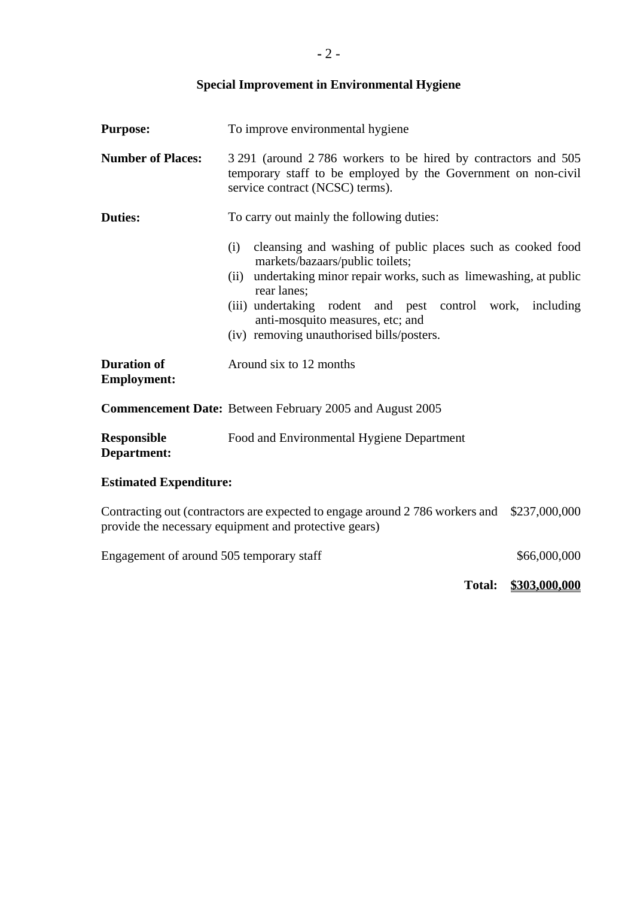# **Special Improvement in Environmental Hygiene**

| To improve environmental hygiene<br><b>Purpose:</b>         |                                                                                                                                                                                                                                                                                                                                   |              |
|-------------------------------------------------------------|-----------------------------------------------------------------------------------------------------------------------------------------------------------------------------------------------------------------------------------------------------------------------------------------------------------------------------------|--------------|
| <b>Number of Places:</b>                                    | 3 291 (around 2 786 workers to be hired by contractors and 505<br>temporary staff to be employed by the Government on non-civil<br>service contract (NCSC) terms).                                                                                                                                                                |              |
| <b>Duties:</b><br>To carry out mainly the following duties: |                                                                                                                                                                                                                                                                                                                                   |              |
|                                                             | cleansing and washing of public places such as cooked food<br>(i)<br>markets/bazaars/public toilets;<br>undertaking minor repair works, such as limewashing, at public<br>(ii)<br>rear lanes;<br>(iii) undertaking rodent and pest control work,<br>anti-mosquito measures, etc; and<br>(iv) removing unauthorised bills/posters. | including    |
| <b>Duration of</b><br><b>Employment:</b>                    | Around six to 12 months                                                                                                                                                                                                                                                                                                           |              |
|                                                             | <b>Commencement Date:</b> Between February 2005 and August 2005                                                                                                                                                                                                                                                                   |              |
| <b>Responsible</b><br>Department:                           | Food and Environmental Hygiene Department                                                                                                                                                                                                                                                                                         |              |
| <b>Estimated Expenditure:</b>                               |                                                                                                                                                                                                                                                                                                                                   |              |
|                                                             | Contracting out (contractors are expected to engage around 2 786 workers and \$237,000,000<br>provide the necessary equipment and protective gears)                                                                                                                                                                               |              |
| Engagement of around 505 temporary staff                    |                                                                                                                                                                                                                                                                                                                                   | \$66,000,000 |

**Total: \$303,000,000**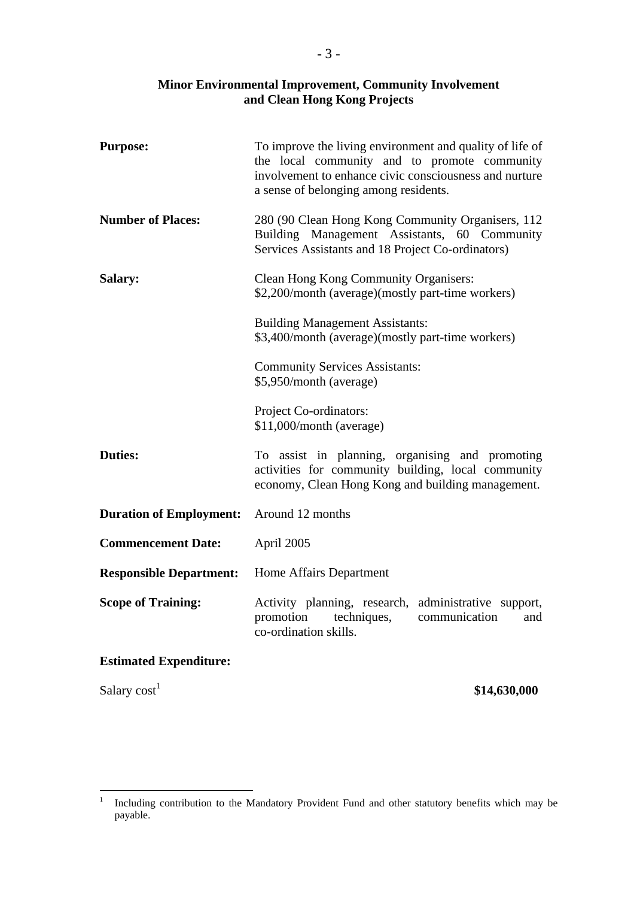### **Minor Environmental Improvement, Community Involvement and Clean Hong Kong Projects**

| <b>Purpose:</b>                | To improve the living environment and quality of life of<br>the local community and to promote community<br>involvement to enhance civic consciousness and nurture<br>a sense of belonging among residents. |
|--------------------------------|-------------------------------------------------------------------------------------------------------------------------------------------------------------------------------------------------------------|
| <b>Number of Places:</b>       | 280 (90 Clean Hong Kong Community Organisers, 112<br>Building Management Assistants, 60 Community<br>Services Assistants and 18 Project Co-ordinators)                                                      |
| Salary:                        | Clean Hong Kong Community Organisers:<br>\$2,200/month (average)(mostly part-time workers)                                                                                                                  |
|                                | <b>Building Management Assistants:</b><br>\$3,400/month (average)(mostly part-time workers)                                                                                                                 |
|                                | <b>Community Services Assistants:</b><br>\$5,950/month (average)                                                                                                                                            |
|                                | Project Co-ordinators:<br>\$11,000/month (average)                                                                                                                                                          |
| <b>Duties:</b>                 | To assist in planning, organising and promoting<br>activities for community building, local community<br>economy, Clean Hong Kong and building management.                                                  |
| <b>Duration of Employment:</b> | Around 12 months                                                                                                                                                                                            |
| <b>Commencement Date:</b>      | April 2005                                                                                                                                                                                                  |
| <b>Responsible Department:</b> | Home Affairs Department                                                                                                                                                                                     |
| <b>Scope of Training:</b>      | Activity planning, research,<br>administrative support,<br>promotion<br>techniques,<br>communication<br>and<br>co-ordination skills.                                                                        |
| <b>Estimated Expenditure:</b>  |                                                                                                                                                                                                             |

Salary cost<sup>1</sup> \$14,630,000

 $\frac{1}{1}$  Including contribution to the Mandatory Provident Fund and other statutory benefits which may be payable.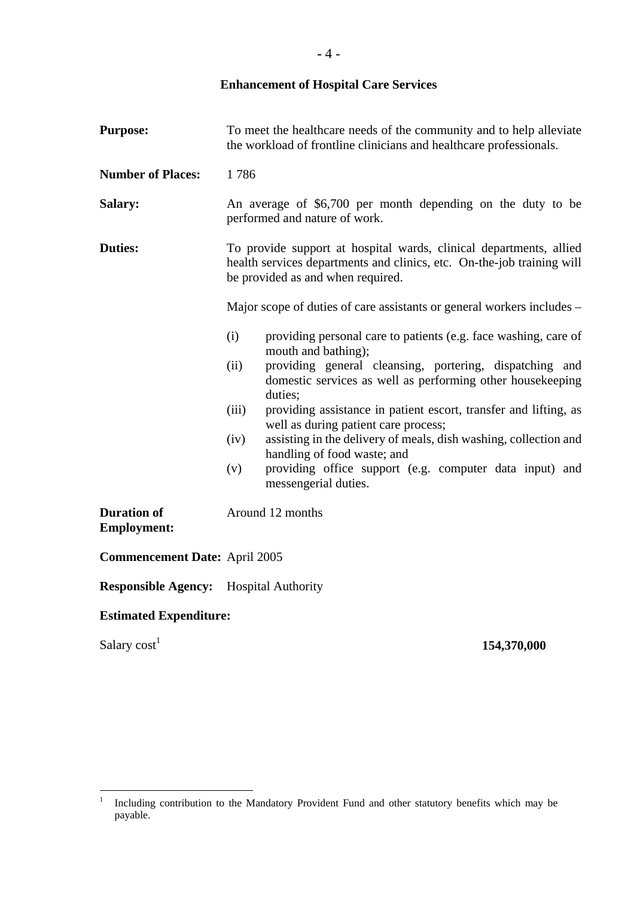# **Enhancement of Hospital Care Services**

| <b>Purpose:</b>                               | To meet the healthcare needs of the community and to help alleviate<br>the workload of frontline clinicians and healthcare professionals.                                         |  |  |
|-----------------------------------------------|-----------------------------------------------------------------------------------------------------------------------------------------------------------------------------------|--|--|
| <b>Number of Places:</b>                      | 1786                                                                                                                                                                              |  |  |
| Salary:                                       | An average of \$6,700 per month depending on the duty to be<br>performed and nature of work.                                                                                      |  |  |
| <b>Duties:</b>                                | To provide support at hospital wards, clinical departments, allied<br>health services departments and clinics, etc. On-the-job training will<br>be provided as and when required. |  |  |
|                                               | Major scope of duties of care assistants or general workers includes –                                                                                                            |  |  |
|                                               | (i)<br>providing personal care to patients (e.g. face washing, care of<br>mouth and bathing);                                                                                     |  |  |
|                                               | providing general cleansing, portering, dispatching and<br>(ii)<br>domestic services as well as performing other housekeeping<br>duties;                                          |  |  |
|                                               | (iii)<br>providing assistance in patient escort, transfer and lifting, as<br>well as during patient care process;                                                                 |  |  |
|                                               | assisting in the delivery of meals, dish washing, collection and<br>(iv)<br>handling of food waste; and                                                                           |  |  |
|                                               | providing office support (e.g. computer data input) and<br>(v)<br>messengerial duties.                                                                                            |  |  |
| <b>Duration of</b><br><b>Employment:</b>      | Around 12 months                                                                                                                                                                  |  |  |
| <b>Commencement Date: April 2005</b>          |                                                                                                                                                                                   |  |  |
| <b>Responsible Agency:</b> Hospital Authority |                                                                                                                                                                                   |  |  |

# **Estimated Expenditure:**

Salary  $cost<sup>1</sup>$ 

## **154,370,000**

 $\frac{1}{1}$  Including contribution to the Mandatory Provident Fund and other statutory benefits which may be payable.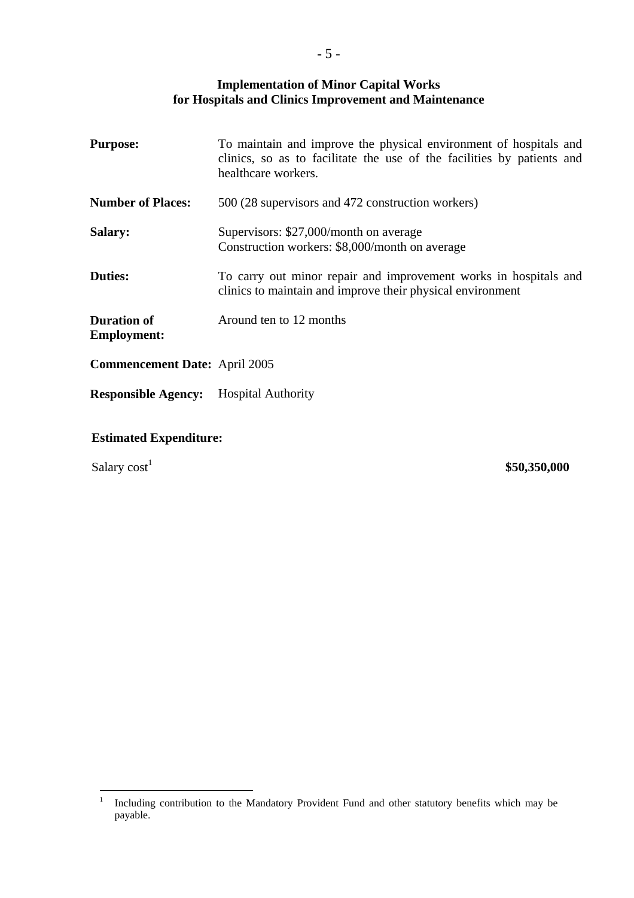#### **Implementation of Minor Capital Works for Hospitals and Clinics Improvement and Maintenance**

| <b>Purpose:</b>                          | To maintain and improve the physical environment of hospitals and<br>clinics, so as to facilitate the use of the facilities by patients and<br>healthcare workers. |
|------------------------------------------|--------------------------------------------------------------------------------------------------------------------------------------------------------------------|
| <b>Number of Places:</b>                 | 500 (28 supervisors and 472 construction workers)                                                                                                                  |
| <b>Salary:</b>                           | Supervisors: \$27,000/month on average<br>Construction workers: \$8,000/month on average                                                                           |
| <b>Duties:</b>                           | To carry out minor repair and improvement works in hospitals and<br>clinics to maintain and improve their physical environment                                     |
| <b>Duration of</b><br><b>Employment:</b> | Around ten to 12 months                                                                                                                                            |
| <b>Commencement Date: April 2005</b>     |                                                                                                                                                                    |
| <b>Responsible Agency:</b>               | <b>Hospital Authority</b>                                                                                                                                          |

#### **Estimated Expenditure:**

Salary  $cost<sup>1</sup>$ 

**\$50,350,000** 

 $\frac{1}{1}$  Including contribution to the Mandatory Provident Fund and other statutory benefits which may be payable.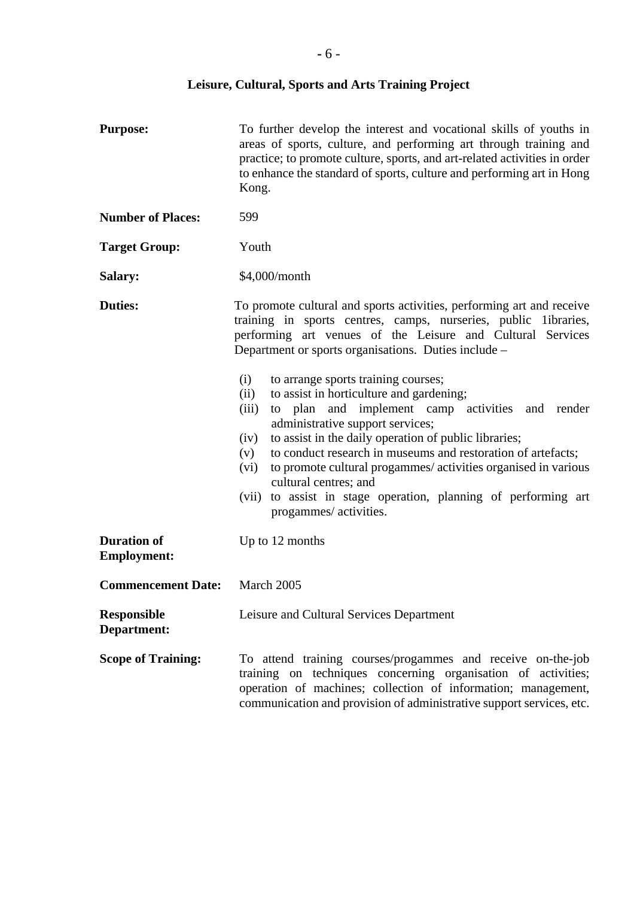| <b>Purpose:</b>                          | To further develop the interest and vocational skills of youths in<br>areas of sports, culture, and performing art through training and<br>practice; to promote culture, sports, and art-related activities in order<br>to enhance the standard of sports, culture and performing art in Hong<br>Kong.                                                                                                                                                                                                                                                                                                                                                                                                                                                                                                      |
|------------------------------------------|-------------------------------------------------------------------------------------------------------------------------------------------------------------------------------------------------------------------------------------------------------------------------------------------------------------------------------------------------------------------------------------------------------------------------------------------------------------------------------------------------------------------------------------------------------------------------------------------------------------------------------------------------------------------------------------------------------------------------------------------------------------------------------------------------------------|
| <b>Number of Places:</b>                 | 599                                                                                                                                                                                                                                                                                                                                                                                                                                                                                                                                                                                                                                                                                                                                                                                                         |
| <b>Target Group:</b>                     | Youth                                                                                                                                                                                                                                                                                                                                                                                                                                                                                                                                                                                                                                                                                                                                                                                                       |
| Salary:                                  | \$4,000/month                                                                                                                                                                                                                                                                                                                                                                                                                                                                                                                                                                                                                                                                                                                                                                                               |
| <b>Duties:</b>                           | To promote cultural and sports activities, performing art and receive<br>training in sports centres, camps, nurseries, public libraries,<br>performing art venues of the Leisure and Cultural Services<br>Department or sports organisations. Duties include –<br>(i)<br>to arrange sports training courses;<br>to assist in horticulture and gardening;<br>(ii)<br>to plan and implement camp activities and render<br>(iii)<br>administrative support services;<br>to assist in the daily operation of public libraries;<br>(iv)<br>to conduct research in museums and restoration of artefacts;<br>(v)<br>to promote cultural progammes/ activities organised in various<br>(vi)<br>cultural centres; and<br>to assist in stage operation, planning of performing art<br>(vii)<br>progammes/ activities. |
| <b>Duration of</b><br><b>Employment:</b> | Up to 12 months                                                                                                                                                                                                                                                                                                                                                                                                                                                                                                                                                                                                                                                                                                                                                                                             |
| <b>Commencement Date:</b>                | March 2005                                                                                                                                                                                                                                                                                                                                                                                                                                                                                                                                                                                                                                                                                                                                                                                                  |
| <b>Responsible</b><br>Department:        | Leisure and Cultural Services Department                                                                                                                                                                                                                                                                                                                                                                                                                                                                                                                                                                                                                                                                                                                                                                    |
| <b>Scope of Training:</b>                | To attend training courses/progammes and receive on-the-job<br>training on techniques concerning organisation of activities;<br>operation of machines; collection of information; management,<br>communication and provision of administrative support services, etc.                                                                                                                                                                                                                                                                                                                                                                                                                                                                                                                                       |

# **Leisure, Cultural, Sports and Arts Training Project**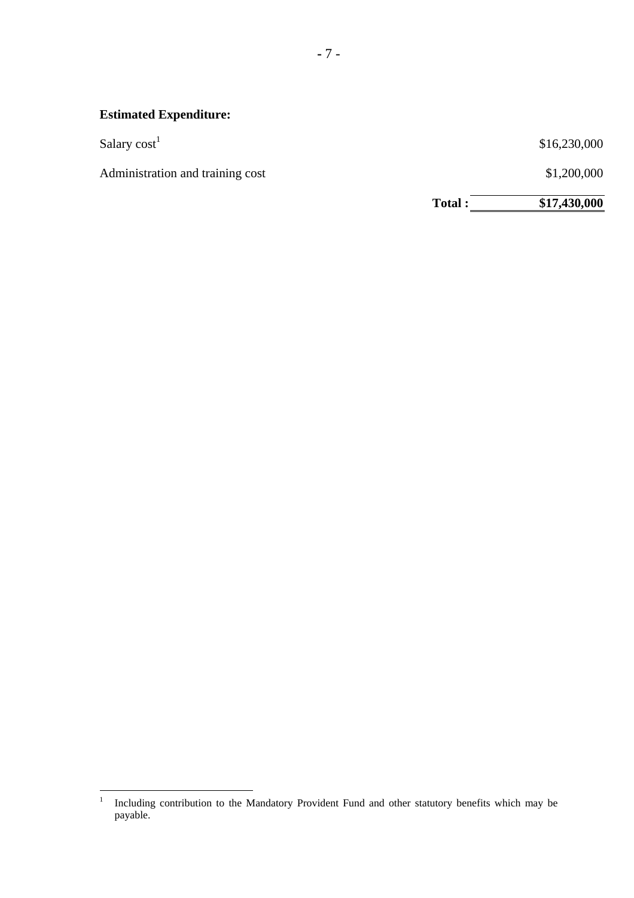# **Estimated Expenditure:**

| Salary $cost1$ | \$16,230,000 |
|----------------|--------------|
|                |              |

Administration and training cost

\$1,200,000

Total :  $\frac{\$17,430,000}{\$17,430,000}$ 

 $\frac{1}{1}$  Including contribution to the Mandatory Provident Fund and other statutory benefits which may be payable.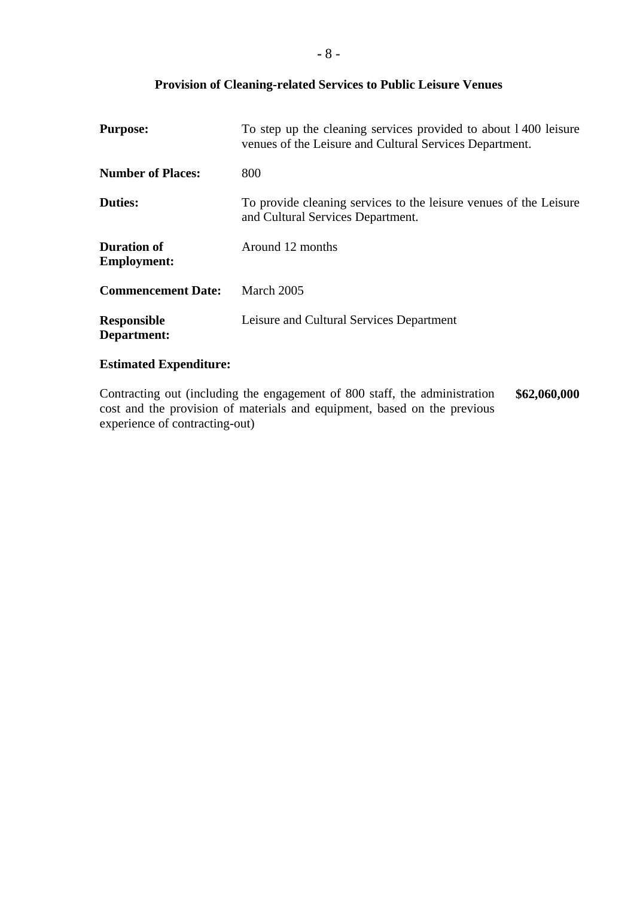#### **Provision of Cleaning-related Services to Public Leisure Venues**

| <b>Purpose:</b>                          | To step up the cleaning services provided to about 1400 leisure<br>venues of the Leisure and Cultural Services Department. |
|------------------------------------------|----------------------------------------------------------------------------------------------------------------------------|
| <b>Number of Places:</b>                 | 800                                                                                                                        |
| <b>Duties:</b>                           | To provide cleaning services to the leisure venues of the Leisure<br>and Cultural Services Department.                     |
| <b>Duration of</b><br><b>Employment:</b> | Around 12 months                                                                                                           |
| <b>Commencement Date:</b>                | March 2005                                                                                                                 |
| <b>Responsible</b><br>Department:        | Leisure and Cultural Services Department                                                                                   |

## **Estimated Expenditure:**

Contracting out (including the engagement of 800 staff, the administration cost and the provision of materials and equipment, based on the previous experience of contracting-out) **\$62,060,000**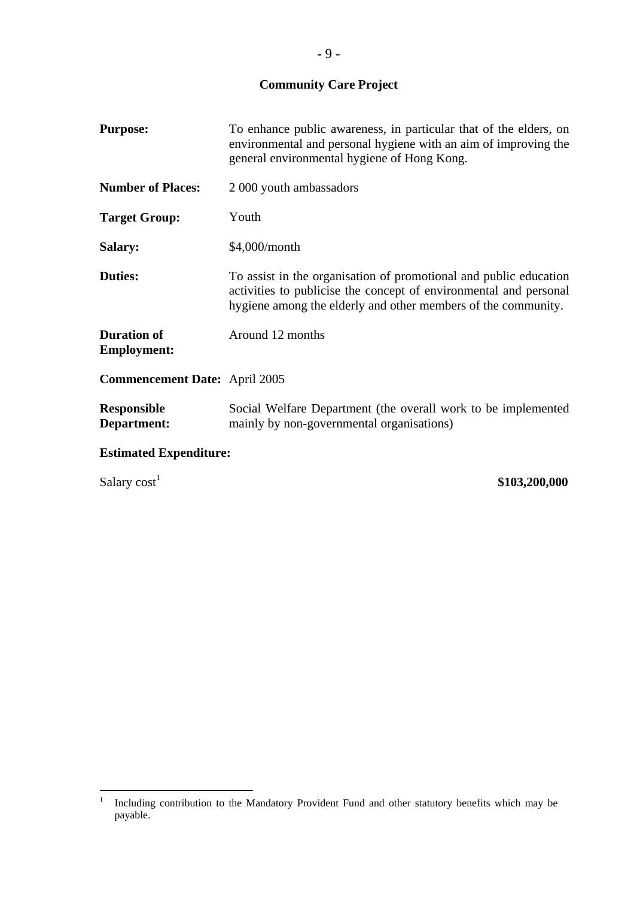**Community Care Project** 

| <b>Purpose:</b>                          | To enhance public awareness, in particular that of the elders, on<br>environmental and personal hygiene with an aim of improving the<br>general environmental hygiene of Hong Kong.                     |  |  |
|------------------------------------------|---------------------------------------------------------------------------------------------------------------------------------------------------------------------------------------------------------|--|--|
| <b>Number of Places:</b>                 | 2 000 youth ambassadors                                                                                                                                                                                 |  |  |
| <b>Target Group:</b>                     | Youth                                                                                                                                                                                                   |  |  |
| Salary:                                  | \$4,000/month                                                                                                                                                                                           |  |  |
| <b>Duties:</b>                           | To assist in the organisation of promotional and public education<br>activities to publicise the concept of environmental and personal<br>hygiene among the elderly and other members of the community. |  |  |
| <b>Duration of</b><br><b>Employment:</b> | Around 12 months                                                                                                                                                                                        |  |  |
| <b>Commencement Date:</b> April 2005     |                                                                                                                                                                                                         |  |  |
| <b>Responsible</b><br>Department:        | Social Welfare Department (the overall work to be implemented<br>mainly by non-governmental organisations)                                                                                              |  |  |
|                                          | <b>Estimated Expenditure:</b>                                                                                                                                                                           |  |  |

Salary cost<sup>1</sup> \$103,200,000

 $\frac{1}{1}$  Including contribution to the Mandatory Provident Fund and other statutory benefits which may be payable.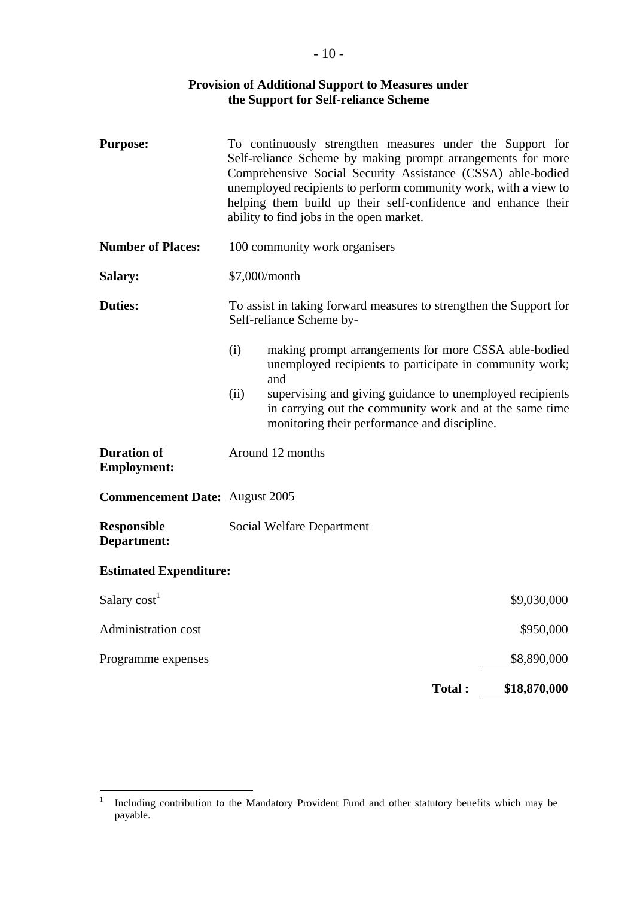#### **Provision of Additional Support to Measures under the Support for Self-reliance Scheme**

| <b>Purpose:</b>                          | To continuously strengthen measures under the Support for<br>Self-reliance Scheme by making prompt arrangements for more<br>Comprehensive Social Security Assistance (CSSA) able-bodied<br>unemployed recipients to perform community work, with a view to<br>helping them build up their self-confidence and enhance their<br>ability to find jobs in the open market. |
|------------------------------------------|-------------------------------------------------------------------------------------------------------------------------------------------------------------------------------------------------------------------------------------------------------------------------------------------------------------------------------------------------------------------------|
| <b>Number of Places:</b>                 | 100 community work organisers                                                                                                                                                                                                                                                                                                                                           |
| <b>Salary:</b>                           | \$7,000/month                                                                                                                                                                                                                                                                                                                                                           |
| <b>Duties:</b>                           | To assist in taking forward measures to strengthen the Support for<br>Self-reliance Scheme by-                                                                                                                                                                                                                                                                          |
|                                          | (i)<br>making prompt arrangements for more CSSA able-bodied<br>unemployed recipients to participate in community work;<br>and                                                                                                                                                                                                                                           |
|                                          | supervising and giving guidance to unemployed recipients<br>(ii)<br>in carrying out the community work and at the same time<br>monitoring their performance and discipline.                                                                                                                                                                                             |
| <b>Duration of</b><br><b>Employment:</b> | Around 12 months                                                                                                                                                                                                                                                                                                                                                        |
| <b>Commencement Date: August 2005</b>    |                                                                                                                                                                                                                                                                                                                                                                         |
| <b>Responsible</b><br>Department:        | Social Welfare Department                                                                                                                                                                                                                                                                                                                                               |
| <b>Estimated Expenditure:</b>            |                                                                                                                                                                                                                                                                                                                                                                         |
| Salary cost <sup>1</sup>                 | \$9,030,000                                                                                                                                                                                                                                                                                                                                                             |
| Administration cost                      | \$950,000                                                                                                                                                                                                                                                                                                                                                               |
| Programme expenses                       | \$8,890,000                                                                                                                                                                                                                                                                                                                                                             |
|                                          | Total:<br>\$18,870,000                                                                                                                                                                                                                                                                                                                                                  |

 $\frac{1}{1}$  Including contribution to the Mandatory Provident Fund and other statutory benefits which may be payable.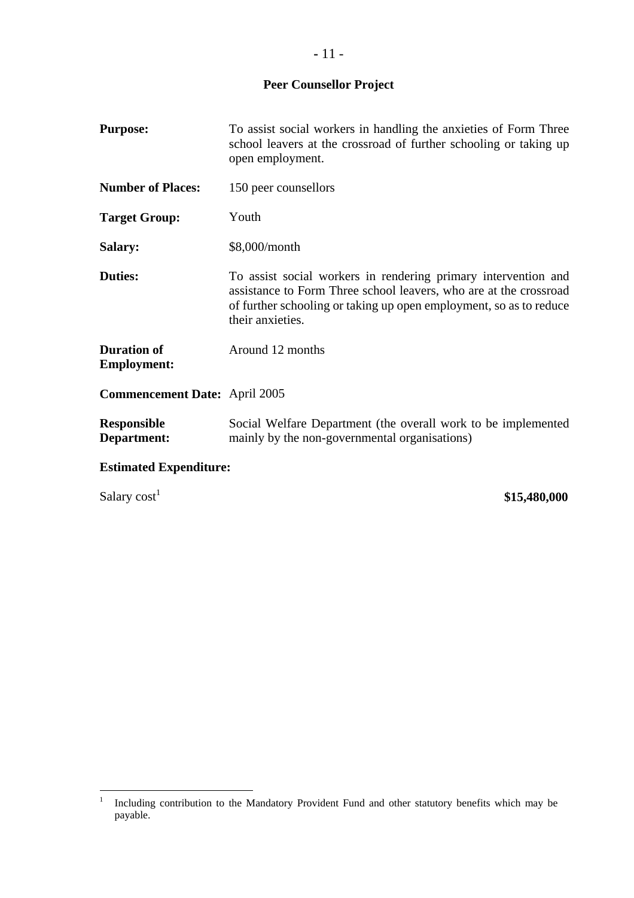# **Peer Counsellor Project**

| <b>Purpose:</b>                          | To assist social workers in handling the anxieties of Form Three<br>school leavers at the crossroad of further schooling or taking up<br>open employment.                                                                     |  |
|------------------------------------------|-------------------------------------------------------------------------------------------------------------------------------------------------------------------------------------------------------------------------------|--|
| <b>Number of Places:</b>                 | 150 peer counsellors                                                                                                                                                                                                          |  |
| <b>Target Group:</b>                     | Youth                                                                                                                                                                                                                         |  |
| Salary:                                  | \$8,000/month                                                                                                                                                                                                                 |  |
| <b>Duties:</b>                           | To assist social workers in rendering primary intervention and<br>assistance to Form Three school leavers, who are at the crossroad<br>of further schooling or taking up open employment, so as to reduce<br>their anxieties. |  |
| <b>Duration of</b><br><b>Employment:</b> | Around 12 months                                                                                                                                                                                                              |  |
| <b>Commencement Date:</b> April 2005     |                                                                                                                                                                                                                               |  |
| <b>Responsible</b><br>Department:        | Social Welfare Department (the overall work to be implemented<br>mainly by the non-governmental organisations)                                                                                                                |  |
| <b>Estimated Expenditure:</b>            |                                                                                                                                                                                                                               |  |

Salary  $cost<sup>1</sup>$ 

**\$15,480,000**

 $\frac{1}{1}$  Including contribution to the Mandatory Provident Fund and other statutory benefits which may be payable.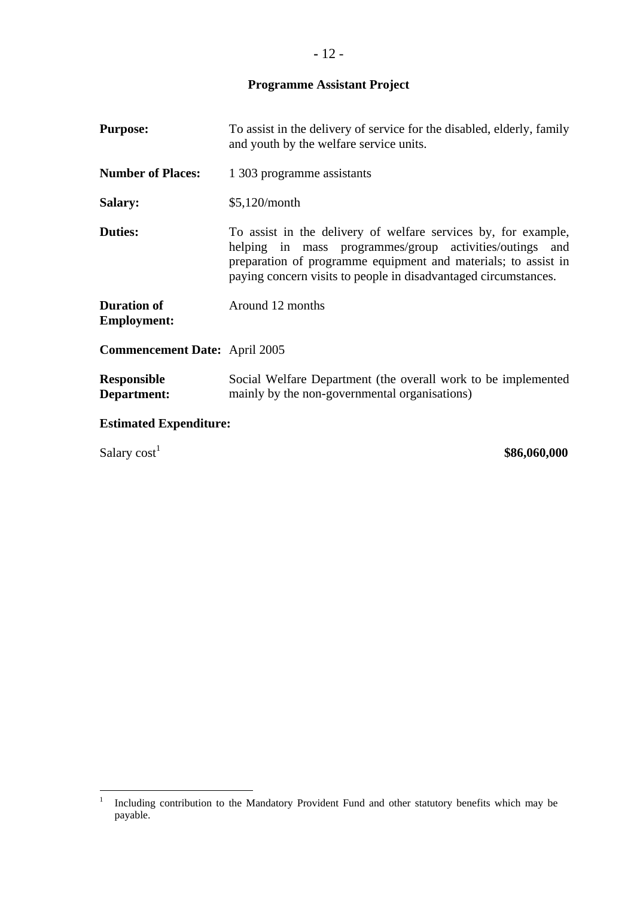**Programme Assistant Project** 

| <b>Purpose:</b>                      | To assist in the delivery of service for the disabled, elderly, family<br>and youth by the welfare service units.                                                                                                                                              |
|--------------------------------------|----------------------------------------------------------------------------------------------------------------------------------------------------------------------------------------------------------------------------------------------------------------|
| <b>Number of Places:</b>             | 1 303 programme assistants                                                                                                                                                                                                                                     |
| <b>Salary:</b>                       | $$5,120/m$ onth                                                                                                                                                                                                                                                |
| <b>Duties:</b>                       | To assist in the delivery of welfare services by, for example,<br>helping in mass programmes/group activities/outings and<br>preparation of programme equipment and materials; to assist in<br>paying concern visits to people in disadvantaged circumstances. |
| Duration of<br><b>Employment:</b>    | Around 12 months                                                                                                                                                                                                                                               |
| <b>Commencement Date:</b> April 2005 |                                                                                                                                                                                                                                                                |
| <b>Responsible</b><br>Department:    | Social Welfare Department (the overall work to be implemented<br>mainly by the non-governmental organisations)                                                                                                                                                 |
| <b>Estimated Expenditure:</b>        |                                                                                                                                                                                                                                                                |
| Salary cost <sup>1</sup>             | \$86,060,000                                                                                                                                                                                                                                                   |

 $\frac{1}{1}$  Including contribution to the Mandatory Provident Fund and other statutory benefits which may be payable.